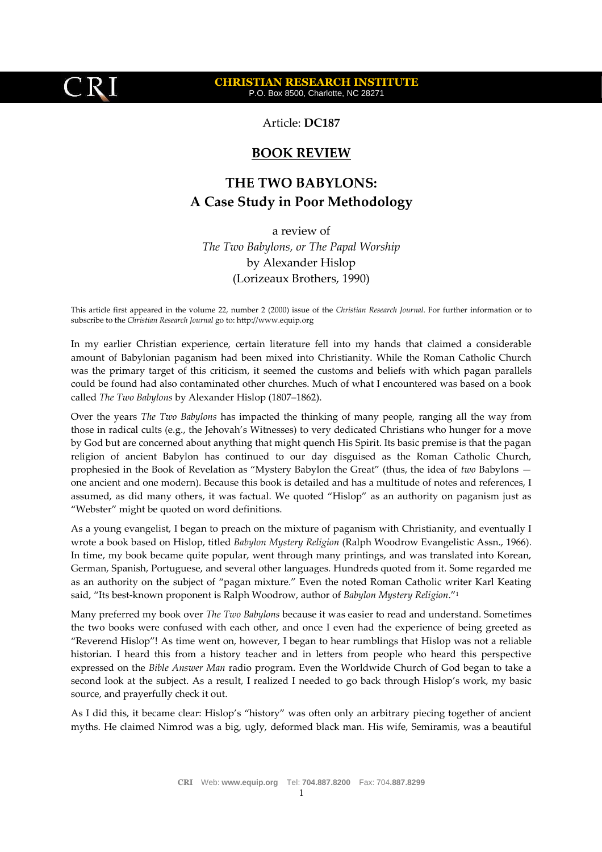## **CHRISTIAN RESEARCH INSTITUTE** P.O. Box 8500, Charlotte, NC 28271

Article: **DC187**

## **BOOK REVIEW**

## **THE TWO BABYLONS: A Case Study in Poor Methodology**

a review of *The Two Babylons, or The Papal Worship* by Alexander Hislop (Lorizeaux Brothers, 1990)

This article first appeared in the volume 22, number 2 (2000) issue of the *Christian Research Journal*. For further information or to subscribe to the *Christian Research Journal* go to: http://www.equip.org

In my earlier Christian experience, certain literature fell into my hands that claimed a considerable amount of Babylonian paganism had been mixed into Christianity. While the Roman Catholic Church was the primary target of this criticism, it seemed the customs and beliefs with which pagan parallels could be found had also contaminated other churches. Much of what I encountered was based on a book called *The Two Babylons* by Alexander Hislop (1807–1862).

Over the years *The Two Babylons* has impacted the thinking of many people, ranging all the way from those in radical cults (e.g., the Jehovah's Witnesses) to very dedicated Christians who hunger for a move by God but are concerned about anything that might quench His Spirit. Its basic premise is that the pagan religion of ancient Babylon has continued to our day disguised as the Roman Catholic Church, prophesied in the Book of Revelation as "Mystery Babylon the Great" (thus, the idea of *two* Babylons one ancient and one modern). Because this book is detailed and has a multitude of notes and references, I assumed, as did many others, it was factual. We quoted "Hislop" as an authority on paganism just as "Webster" might be quoted on word definitions.

As a young evangelist, I began to preach on the mixture of paganism with Christianity, and eventually I wrote a book based on Hislop, titled *Babylon Mystery Religion* (Ralph Woodrow Evangelistic Assn., 1966)*.* In time, my book became quite popular, went through many printings, and was translated into Korean, German, Spanish, Portuguese, and several other languages. Hundreds quoted from it. Some regarded me as an authority on the subject of "pagan mixture." Even the noted Roman Catholic writer Karl Keating said, "Its best-known proponent is Ralph Woodrow, author of *Babylon Mystery Religion*."<sup>1</sup>

Many preferred my book over *The Two Babylons* because it was easier to read and understand. Sometimes the two books were confused with each other, and once I even had the experience of being greeted as "Reverend Hislop"! As time went on, however, I began to hear rumblings that Hislop was not a reliable historian. I heard this from a history teacher and in letters from people who heard this perspective expressed on the *Bible Answer Man* radio program. Even the Worldwide Church of God began to take a second look at the subject. As a result, I realized I needed to go back through Hislop's work, my basic source, and prayerfully check it out.

As I did this, it became clear: Hislop's "history" was often only an arbitrary piecing together of ancient myths. He claimed Nimrod was a big, ugly, deformed black man. His wife, Semiramis, was a beautiful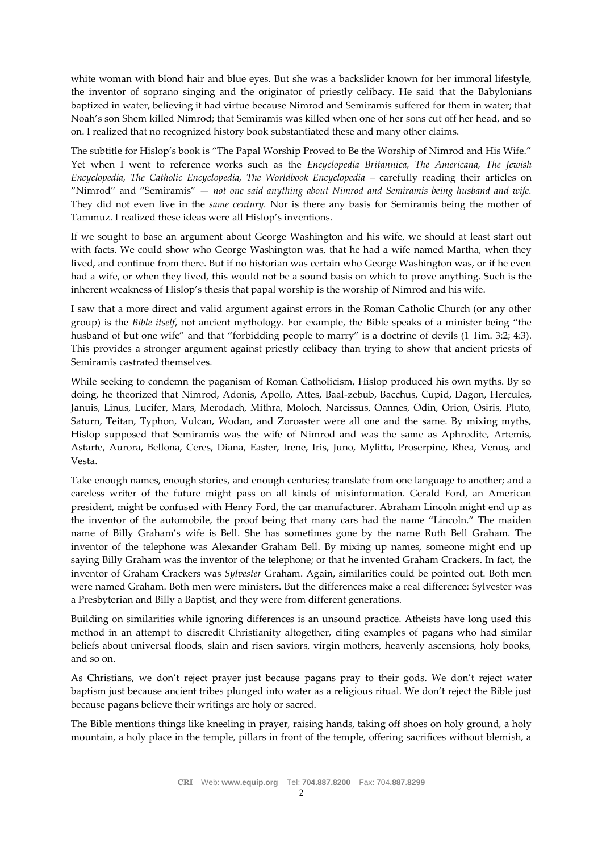white woman with blond hair and blue eyes. But she was a backslider known for her immoral lifestyle, the inventor of soprano singing and the originator of priestly celibacy. He said that the Babylonians baptized in water, believing it had virtue because Nimrod and Semiramis suffered for them in water; that Noah's son Shem killed Nimrod; that Semiramis was killed when one of her sons cut off her head, and so on. I realized that no recognized history book substantiated these and many other claims.

The subtitle for Hislop's book is "The Papal Worship Proved to Be the Worship of Nimrod and His Wife." Yet when I went to reference works such as the *Encyclopedia Britannica, The Americana, The Jewish Encyclopedia, The Catholic Encyclopedia, The Worldbook Encyclopedia –* carefully reading their articles on "Nimrod" and "Semiramis" — *not one said anything about Nimrod and Semiramis being husband and wife.* They did not even live in the *same century.* Nor is there any basis for Semiramis being the mother of Tammuz. I realized these ideas were all Hislop's inventions.

If we sought to base an argument about George Washington and his wife, we should at least start out with facts. We could show who George Washington was, that he had a wife named Martha, when they lived, and continue from there. But if no historian was certain who George Washington was, or if he even had a wife, or when they lived, this would not be a sound basis on which to prove anything. Such is the inherent weakness of Hislop's thesis that papal worship is the worship of Nimrod and his wife.

I saw that a more direct and valid argument against errors in the Roman Catholic Church (or any other group) is the *Bible itself*, not ancient mythology. For example, the Bible speaks of a minister being "the husband of but one wife" and that "forbidding people to marry" is a doctrine of devils (1 Tim. 3:2; 4:3). This provides a stronger argument against priestly celibacy than trying to show that ancient priests of Semiramis castrated themselves.

While seeking to condemn the paganism of Roman Catholicism, Hislop produced his own myths. By so doing, he theorized that Nimrod, Adonis, Apollo, Attes, Baal-zebub, Bacchus, Cupid, Dagon, Hercules, Januis, Linus, Lucifer, Mars, Merodach, Mithra, Moloch, Narcissus, Oannes, Odin, Orion, Osiris, Pluto, Saturn, Teitan, Typhon, Vulcan, Wodan, and Zoroaster were all one and the same. By mixing myths, Hislop supposed that Semiramis was the wife of Nimrod and was the same as Aphrodite, Artemis, Astarte, Aurora, Bellona, Ceres, Diana, Easter, Irene, Iris, Juno, Mylitta, Proserpine, Rhea, Venus, and Vesta.

Take enough names, enough stories, and enough centuries; translate from one language to another; and a careless writer of the future might pass on all kinds of misinformation. Gerald Ford, an American president, might be confused with Henry Ford, the car manufacturer. Abraham Lincoln might end up as the inventor of the automobile, the proof being that many cars had the name "Lincoln." The maiden name of Billy Graham's wife is Bell. She has sometimes gone by the name Ruth Bell Graham. The inventor of the telephone was Alexander Graham Bell. By mixing up names, someone might end up saying Billy Graham was the inventor of the telephone; or that he invented Graham Crackers. In fact, the inventor of Graham Crackers was *Sylvester* Graham. Again, similarities could be pointed out. Both men were named Graham. Both men were ministers. But the differences make a real difference: Sylvester was a Presbyterian and Billy a Baptist, and they were from different generations.

Building on similarities while ignoring differences is an unsound practice. Atheists have long used this method in an attempt to discredit Christianity altogether, citing examples of pagans who had similar beliefs about universal floods, slain and risen saviors, virgin mothers, heavenly ascensions, holy books, and so on.

As Christians, we don't reject prayer just because pagans pray to their gods. We don't reject water baptism just because ancient tribes plunged into water as a religious ritual. We don't reject the Bible just because pagans believe their writings are holy or sacred.

The Bible mentions things like kneeling in prayer, raising hands, taking off shoes on holy ground, a holy mountain, a holy place in the temple, pillars in front of the temple, offering sacrifices without blemish, a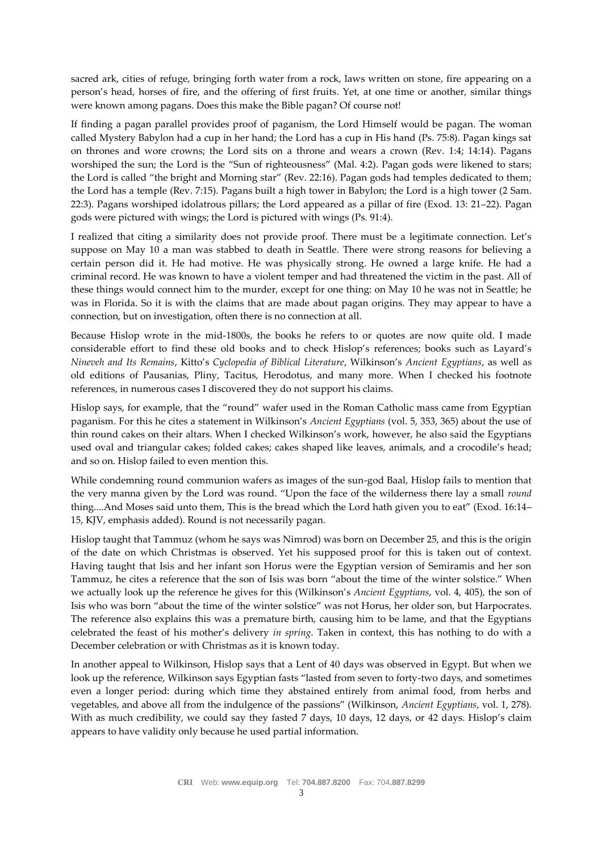sacred ark, cities of refuge, bringing forth water from a rock, laws written on stone, fire appearing on a person's head, horses of fire, and the offering of first fruits. Yet, at one time or another, similar things were known among pagans. Does this make the Bible pagan? Of course not!

If finding a pagan parallel provides proof of paganism, the Lord Himself would be pagan. The woman called Mystery Babylon had a cup in her hand; the Lord has a cup in His hand (Ps. 75:8). Pagan kings sat on thrones and wore crowns; the Lord sits on a throne and wears a crown (Rev. 1:4; 14:14). Pagans worshiped the sun; the Lord is the "Sun of righteousness" (Mal. 4:2). Pagan gods were likened to stars; the Lord is called "the bright and Morning star" (Rev. 22:16). Pagan gods had temples dedicated to them; the Lord has a temple (Rev. 7:15). Pagans built a high tower in Babylon; the Lord is a high tower (2 Sam. 22:3). Pagans worshiped idolatrous pillars; the Lord appeared as a pillar of fire (Exod. 13: 21–22). Pagan gods were pictured with wings; the Lord is pictured with wings (Ps. 91:4).

I realized that citing a similarity does not provide proof. There must be a legitimate connection. Let's suppose on May 10 a man was stabbed to death in Seattle. There were strong reasons for believing a certain person did it. He had motive. He was physically strong. He owned a large knife. He had a criminal record. He was known to have a violent temper and had threatened the victim in the past. All of these things would connect him to the murder, except for one thing: on May 10 he was not in Seattle; he was in Florida. So it is with the claims that are made about pagan origins. They may appear to have a connection, but on investigation, often there is no connection at all.

Because Hislop wrote in the mid-1800s, the books he refers to or quotes are now quite old. I made considerable effort to find these old books and to check Hislop's references; books such as Layard's *Nineveh and Its Remains*, Kitto's *Cyclopedia of Biblical Literature*, Wilkinson's *Ancient Egyptians*, as well as old editions of Pausanias, Pliny, Tacitus, Herodotus, and many more. When I checked his footnote references, in numerous cases I discovered they do not support his claims.

Hislop says, for example, that the "round" wafer used in the Roman Catholic mass came from Egyptian paganism. For this he cites a statement in Wilkinson's *Ancient Egyptians* (vol. 5, 353, 365) about the use of thin round cakes on their altars. When I checked Wilkinson's work, however, he also said the Egyptians used oval and triangular cakes; folded cakes; cakes shaped like leaves, animals, and a crocodile's head; and so on. Hislop failed to even mention this.

While condemning round communion wafers as images of the sun-god Baal, Hislop fails to mention that the very manna given by the Lord was round. "Upon the face of the wilderness there lay a small *round* thing....And Moses said unto them, This is the bread which the Lord hath given you to eat" (Exod. 16:14– 15, KJV, emphasis added). Round is not necessarily pagan.

Hislop taught that Tammuz (whom he says was Nimrod) was born on December 25, and this is the origin of the date on which Christmas is observed. Yet his supposed proof for this is taken out of context. Having taught that Isis and her infant son Horus were the Egyptian version of Semiramis and her son Tammuz, he cites a reference that the son of Isis was born "about the time of the winter solstice." When we actually look up the reference he gives for this (Wilkinson's *Ancient Egyptians*, vol. 4, 405), the son of Isis who was born "about the time of the winter solstice" was not Horus, her older son, but Harpocrates. The reference also explains this was a premature birth, causing him to be lame, and that the Egyptians celebrated the feast of his mother's delivery *in spring*. Taken in context, this has nothing to do with a December celebration or with Christmas as it is known today.

In another appeal to Wilkinson, Hislop says that a Lent of 40 days was observed in Egypt. But when we look up the reference, Wilkinson says Egyptian fasts "lasted from seven to forty-two days, and sometimes even a longer period: during which time they abstained entirely from animal food, from herbs and vegetables, and above all from the indulgence of the passions" (Wilkinson, *Ancient Egyptians*, vol. 1, 278). With as much credibility, we could say they fasted 7 days, 10 days, 12 days, or 42 days. Hislop's claim appears to have validity only because he used partial information.